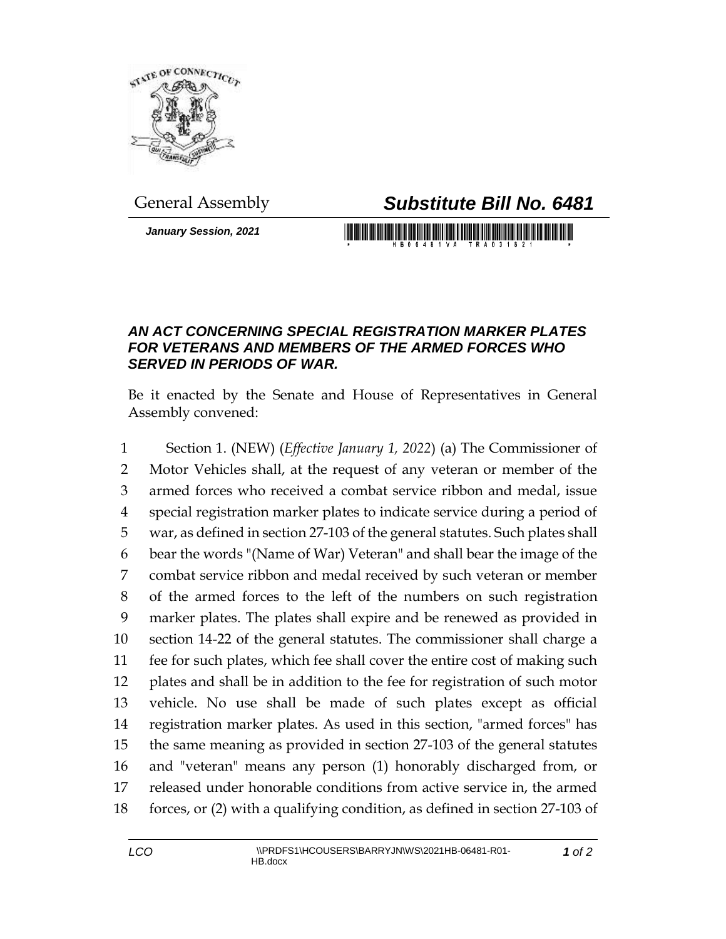

## General Assembly *Substitute Bill No. 6481*

*January Session, 2021*

## 

## *AN ACT CONCERNING SPECIAL REGISTRATION MARKER PLATES FOR VETERANS AND MEMBERS OF THE ARMED FORCES WHO SERVED IN PERIODS OF WAR.*

Be it enacted by the Senate and House of Representatives in General Assembly convened:

 Section 1. (NEW) (*Effective January 1, 2022*) (a) The Commissioner of Motor Vehicles shall, at the request of any veteran or member of the armed forces who received a combat service ribbon and medal, issue special registration marker plates to indicate service during a period of war, as defined in section 27-103 of the general statutes. Such plates shall bear the words "(Name of War) Veteran" and shall bear the image of the combat service ribbon and medal received by such veteran or member of the armed forces to the left of the numbers on such registration marker plates. The plates shall expire and be renewed as provided in section 14-22 of the general statutes. The commissioner shall charge a fee for such plates, which fee shall cover the entire cost of making such plates and shall be in addition to the fee for registration of such motor vehicle. No use shall be made of such plates except as official registration marker plates. As used in this section, "armed forces" has the same meaning as provided in section 27-103 of the general statutes and "veteran" means any person (1) honorably discharged from, or released under honorable conditions from active service in, the armed forces, or (2) with a qualifying condition, as defined in section 27-103 of